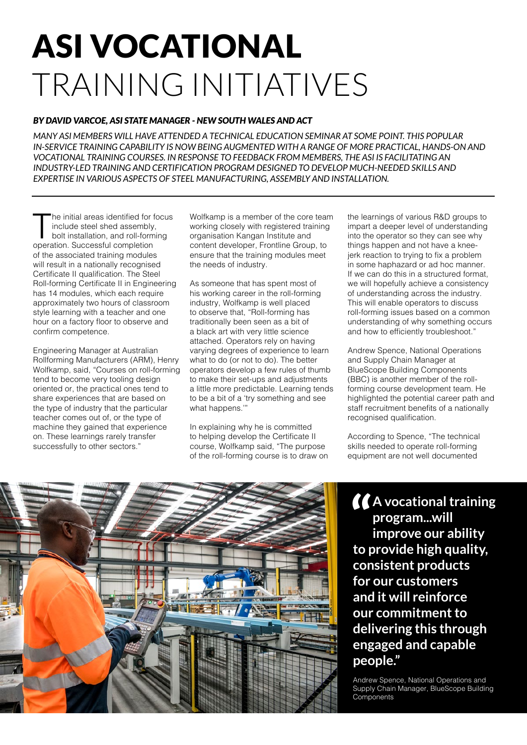# ASI VOCATIONAL TRAINING INITIATIVES

## *BY DAVID VARCOE, ASI STATE MANAGER - NEW SOUTH WALES AND ACT*

*MANY ASI MEMBERS WILL HAVE ATTENDED A TECHNICAL EDUCATION SEMINAR AT SOME POINT. THIS POPULAR IN-SERVICE TRAINING CAPABILITY IS NOW BEING AUGMENTED WITH A RANGE OF MORE PRACTICAL, HANDS-ON AND VOCATIONAL TRAINING COURSES. IN RESPONSE TO FEEDBACK FROM MEMBERS, THE ASI IS FACILITATING AN INDUSTRY-LED TRAINING AND CERTIFICATION PROGRAM DESIGNED TO DEVELOP MUCH-NEEDED SKILLS AND EXPERTISE IN VARIOUS ASPECTS OF STEEL MANUFACTURING, ASSEMBLY AND INSTALLATION.*

The initial areas identified for focus include steel shed assembly, bolt installation, and roll-forming operation. Successful completion of the associated training modules will result in a nationally recognised Certificate II qualification. The Steel Roll-forming Certificate II in Engineering has 14 modules, which each require approximately two hours of classroom style learning with a teacher and one hour on a factory floor to observe and confirm competence.

Engineering Manager at Australian Rollforming Manufacturers (ARM), Henry Wolfkamp, said, "Courses on roll-forming tend to become very tooling design oriented or, the practical ones tend to share experiences that are based on the type of industry that the particular teacher comes out of, or the type of machine they gained that experience on. These learnings rarely transfer successfully to other sectors."

Wolfkamp is a member of the core team working closely with registered training organisation Kangan Institute and content developer, Frontline Group, to ensure that the training modules meet the needs of industry.

As someone that has spent most of his working career in the roll-forming industry, Wolfkamp is well placed to observe that, "Roll-forming has traditionally been seen as a bit of a black art with very little science attached. Operators rely on having varying degrees of experience to learn what to do (or not to do). The better operators develop a few rules of thumb to make their set-ups and adjustments a little more predictable. Learning tends to be a bit of a 'try something and see what happens.'"

In explaining why he is committed to helping develop the Certificate II course, Wolfkamp said, "The purpose of the roll-forming course is to draw on the learnings of various R&D groups to impart a deeper level of understanding into the operator so they can see why things happen and not have a kneejerk reaction to trying to fix a problem in some haphazard or ad hoc manner. If we can do this in a structured format, we will hopefully achieve a consistency of understanding across the industry. This will enable operators to discuss roll-forming issues based on a common understanding of why something occurs and how to efficiently troubleshoot."

Andrew Spence, National Operations and Supply Chain Manager at BlueScope Building Components (BBC) is another member of the rollforming course development team. He highlighted the potential career path and staff recruitment benefits of a nationally recognised qualification.

According to Spence, "The technical skills needed to operate roll-forming equipment are not well documented



<sup>*I*</sup> **A** vocational training<br>
program...will<br>
improve our ability **program...will improve our ability to provide high quality, consistent products for our customers and it will reinforce our commitment to delivering this through engaged and capable people."**

Andrew Spence, National Operations and Supply Chain Manager, BlueScope Building **Components**